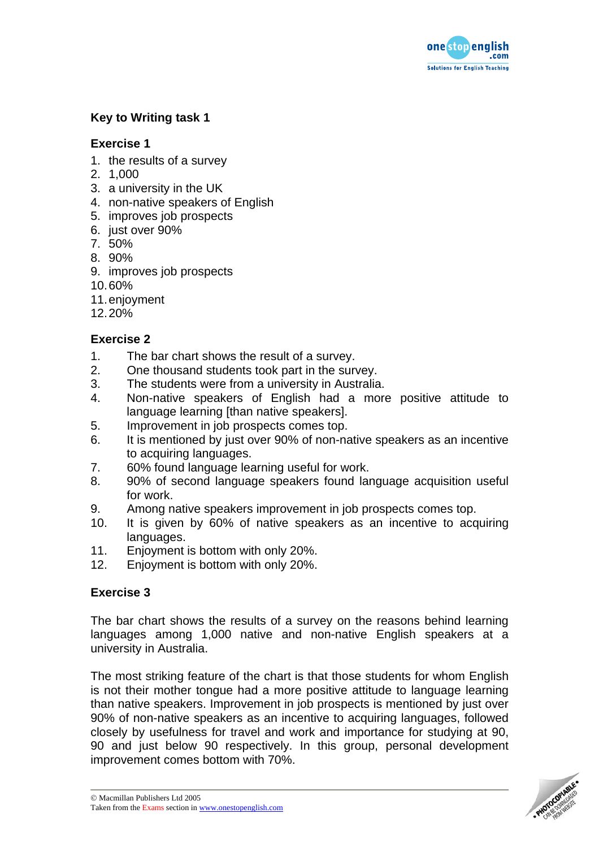

# **Key to Writing task 1**

## **Exercise 1**

- 1. the results of a survey
- 2. 1,000
- 3. a university in the UK
- 4. non-native speakers of English
- 5. improves job prospects
- 6. just over 90%
- 7. 50%
- 8. 90%
- 9. improves job prospects
- 10. 60%
- 11. enjoyment
- 12. 20%

## **Exercise 2**

- 1. The bar chart shows the result of a survey.
- 2. One thousand students took part in the survey.
- 3. The students were from a university in Australia.
- 4. Non-native speakers of English had a more positive attitude to language learning [than native speakers].
- 5. Improvement in job prospects comes top.
- 6. It is mentioned by just over 90% of non-native speakers as an incentive to acquiring languages.
- 7. 60% found language learning useful for work.
- 8. 90% of second language speakers found language acquisition useful for work.
- 9. Among native speakers improvement in job prospects comes top.
- 10. It is given by 60% of native speakers as an incentive to acquiring languages.
- 11. Enjoyment is bottom with only 20%.
- 12. Enjoyment is bottom with only 20%.

## **Exercise 3**

The bar chart shows the results of a survey on the reasons behind learning languages among 1,000 native and non-native English speakers at a university in Australia.

The most striking feature of the chart is that those students for whom English is not their mother tongue had a more positive attitude to language learning than native speakers. Improvement in job prospects is mentioned by just over 90% of non-native speakers as an incentive to acquiring languages, followed closely by usefulness for travel and work and importance for studying at 90, 90 and just below 90 respectively. In this group, personal development improvement comes bottom with 70%.

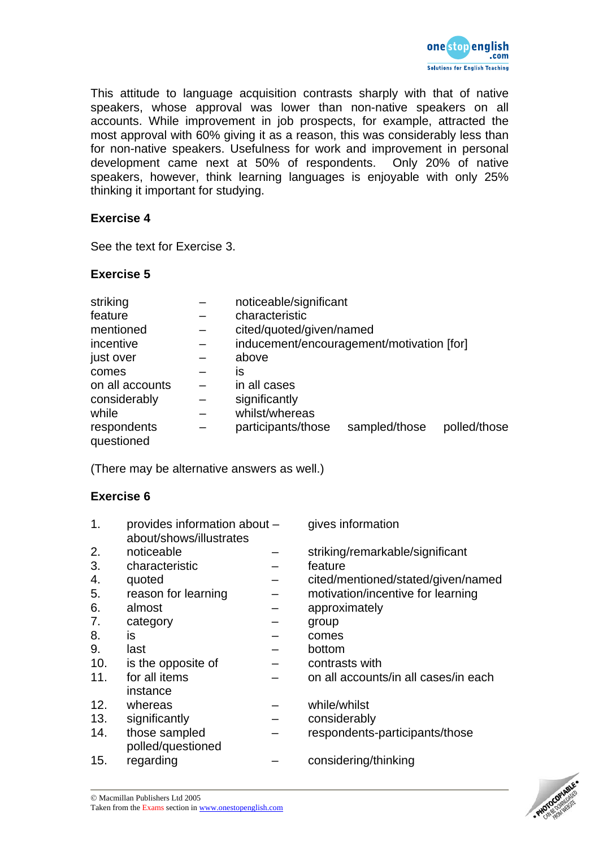

This attitude to language acquisition contrasts sharply with that of native speakers, whose approval was lower than non-native speakers on all accounts. While improvement in job prospects, for example, attracted the most approval with 60% giving it as a reason, this was considerably less than for non-native speakers. Usefulness for work and improvement in personal development came next at 50% of respondents. Only 20% of native speakers, however, think learning languages is enjoyable with only 25% thinking it important for studying.

### **Exercise 4**

See the text for Exercise 3.

### **Exercise 5**

| striking                  | noticeable/significant                    |               |              |  |
|---------------------------|-------------------------------------------|---------------|--------------|--|
| feature                   | characteristic                            |               |              |  |
| mentioned                 | cited/quoted/given/named                  |               |              |  |
| incentive                 | inducement/encouragement/motivation [for] |               |              |  |
| just over                 | above                                     |               |              |  |
| comes                     | İS                                        |               |              |  |
| on all accounts           | in all cases                              |               |              |  |
| considerably              | significantly                             |               |              |  |
| while                     | whilst/whereas                            |               |              |  |
| respondents<br>questioned | participants/those                        | sampled/those | polled/those |  |

(There may be alternative answers as well.)

#### **Exercise 6**

| 1.  | provides information about -<br>about/shows/illustrates | gives information                    |
|-----|---------------------------------------------------------|--------------------------------------|
| 2.  | noticeable                                              | striking/remarkable/significant      |
| 3.  | characteristic                                          | feature                              |
| 4.  | quoted                                                  | cited/mentioned/stated/given/named   |
| 5.  | reason for learning                                     | motivation/incentive for learning    |
| 6.  | almost                                                  | approximately                        |
| 7.  | category                                                | group                                |
| 8.  | <b>is</b>                                               | comes                                |
| 9.  | last                                                    | bottom                               |
| 10. | is the opposite of                                      | contrasts with                       |
| 11. | for all items                                           | on all accounts/in all cases/in each |
|     | instance                                                |                                      |
| 12. | whereas                                                 | while/whilst                         |
| 13. | significantly                                           | considerably                         |
| 14. | those sampled<br>polled/questioned                      | respondents-participants/those       |
| 15. | regarding                                               | considering/thinking                 |